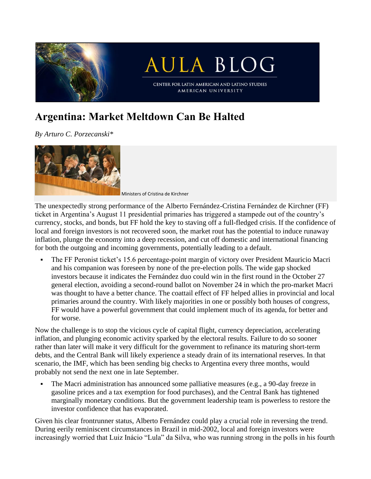

## **Argentina: Market Meltdown Can Be Halted**

*By Arturo C. Porzecanski\**



Ministers of Cristina de Kirchner

The unexpectedly strong performance of the Alberto Fernández-Cristina Fernández de Kirchner (FF) ticket in Argentina's August 11 presidential primaries has triggered a stampede out of the country's currency, stocks, and bonds, but FF hold the key to staving off a full-fledged crisis. If the confidence of local and foreign investors is not recovered soon, the market rout has the potential to induce runaway inflation, plunge the economy into a deep recession, and cut off domestic and international financing for both the outgoing and incoming governments, potentially leading to a default.

▪ The FF Peronist ticket's 15.6 percentage-point margin of victory over President Mauricio Macri and his companion was foreseen by none of the pre-election polls. The wide gap shocked investors because it indicates the Fernández duo could win in the first round in the October 27 general election, avoiding a second-round ballot on November 24 in which the pro-market Macri was thought to have a better chance. The coattail effect of FF helped allies in provincial and local primaries around the country. With likely majorities in one or possibly both houses of congress, FF would have a powerful government that could implement much of its agenda, for better and for worse.

Now the challenge is to stop the vicious cycle of capital flight, currency depreciation, accelerating inflation, and plunging economic activity sparked by the electoral results. Failure to do so sooner rather than later will make it very difficult for the government to refinance its maturing short-term debts, and the Central Bank will likely experience a steady drain of its international reserves. In that scenario, the IMF, which has been sending big checks to Argentina every three months, would probably not send the next one in late September.

▪ The Macri administration has announced some palliative measures (e.g., a 90-day freeze in gasoline prices and a tax exemption for food purchases), and the Central Bank has tightened marginally monetary conditions. But the government leadership team is powerless to restore the investor confidence that has evaporated.

Given his clear frontrunner status, Alberto Fernández could play a crucial role in reversing the trend. During eerily reminiscent circumstances in Brazil in mid-2002, local and foreign investors were increasingly worried that Luiz Inácio "Lula" da Silva, who was running strong in the polls in his fourth